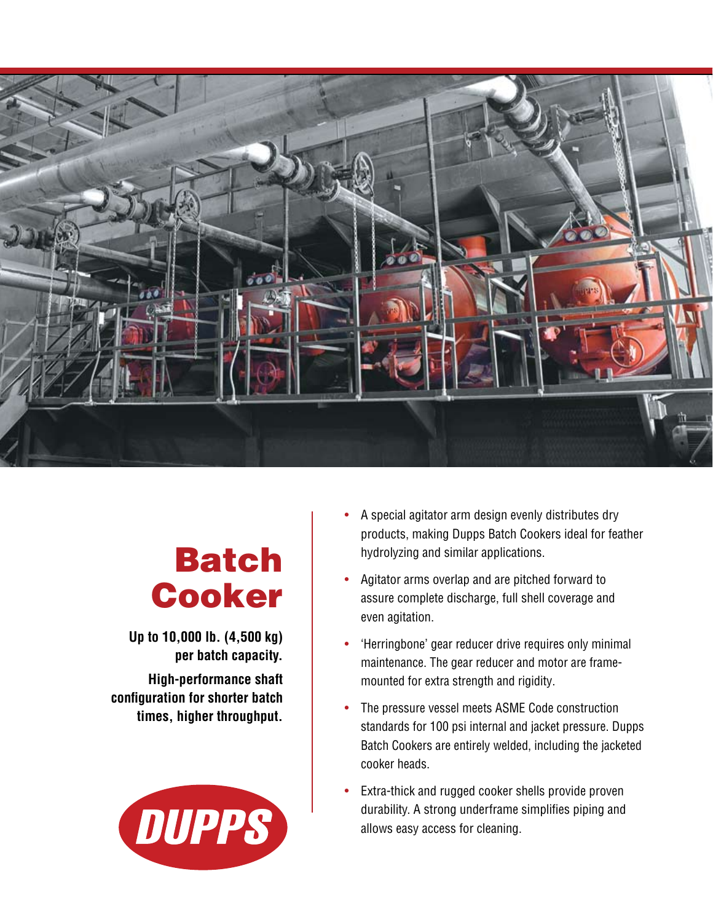

## Batch Cooker

**Up to 10,000 lb. (4,500 kg) per batch capacity. High-performance shaft configuration for shorter batch times, higher throughput.** 



- A special agitator arm design evenly distributes dry products, making Dupps Batch Cookers ideal for feather hydrolyzing and similar applications.
- Agitator arms overlap and are pitched forward to assure complete discharge, full shell coverage and even agitation.
- 'Herringbone' gear reducer drive requires only minimal maintenance. The gear reducer and motor are framemounted for extra strength and rigidity.
- The pressure vessel meets ASME Code construction standards for 100 psi internal and jacket pressure. Dupps Batch Cookers are entirely welded, including the jacketed cooker heads.
- Extra-thick and rugged cooker shells provide proven durability. A strong underframe simplifies piping and allows easy access for cleaning.